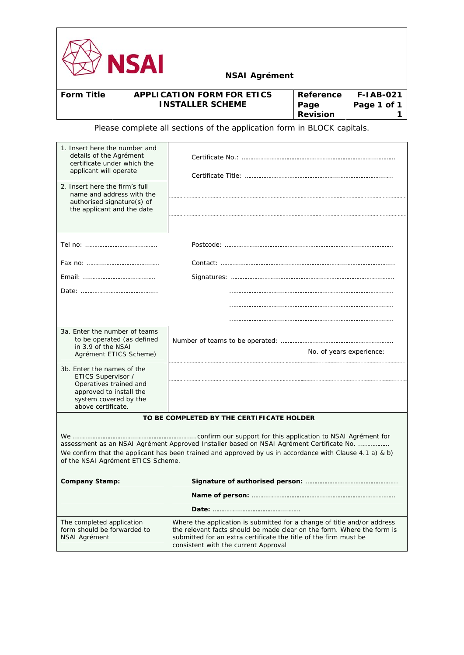

| <b>Form Title</b> | <b>APPLICATION FORM FOR ETICS</b> | Reference       | <b>F-IAB-021</b> |
|-------------------|-----------------------------------|-----------------|------------------|
|                   | <b>INSTALLER SCHEME</b>           | Page            | Page 1 of 1      |
|                   |                                   | <b>Revision</b> |                  |

Please complete all sections of the application form in BLOCK capitals.

| 1. Insert here the number and<br>details of the Agrément<br>certificate under which the<br>applicant will operate                                    |                                                                                                                                                                                                                                                               |  |
|------------------------------------------------------------------------------------------------------------------------------------------------------|---------------------------------------------------------------------------------------------------------------------------------------------------------------------------------------------------------------------------------------------------------------|--|
| 2. Insert here the firm's full<br>name and address with the<br>authorised signature(s) of<br>the applicant and the date                              |                                                                                                                                                                                                                                                               |  |
|                                                                                                                                                      |                                                                                                                                                                                                                                                               |  |
|                                                                                                                                                      |                                                                                                                                                                                                                                                               |  |
|                                                                                                                                                      |                                                                                                                                                                                                                                                               |  |
|                                                                                                                                                      |                                                                                                                                                                                                                                                               |  |
|                                                                                                                                                      |                                                                                                                                                                                                                                                               |  |
|                                                                                                                                                      |                                                                                                                                                                                                                                                               |  |
| 3a. Enter the number of teams<br>to be operated (as defined<br>in 3.9 of the NSAI<br>Agrément ETICS Scheme)                                          | No. of years experience:                                                                                                                                                                                                                                      |  |
| 3b. Enter the names of the<br>ETICS Supervisor /<br>Operatives trained and<br>approved to install the<br>system covered by the<br>above certificate. |                                                                                                                                                                                                                                                               |  |
|                                                                                                                                                      | TO BE COMPLETED BY THE CERTIFICATE HOLDER                                                                                                                                                                                                                     |  |
| of the NSAI Agrément ETICS Scheme.                                                                                                                   | assessment as an NSAI Agrément Approved Installer based on NSAI Agrément Certificate No.<br>We confirm that the applicant has been trained and approved by us in accordance with Clause 4.1 a) & b)                                                           |  |
| <b>Company Stamp:</b>                                                                                                                                |                                                                                                                                                                                                                                                               |  |
|                                                                                                                                                      |                                                                                                                                                                                                                                                               |  |
|                                                                                                                                                      |                                                                                                                                                                                                                                                               |  |
| The completed application<br>form should be forwarded to<br><b>NSAI Agrément</b>                                                                     | Where the application is submitted for a change of title and/or address<br>the relevant facts should be made clear on the form. Where the form is<br>submitted for an extra certificate the title of the firm must be<br>consistent with the current Approval |  |